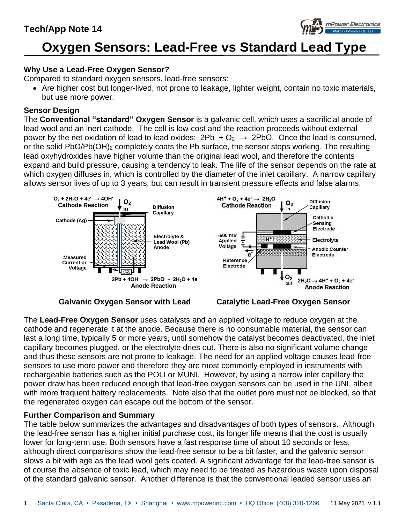

# **Oxygen Sensors: Lead-Free vs Standard Lead Type**

## **Why Use a Lead-Free Oxygen Sensor?**

Compared to standard oxygen sensors, lead-free sensors:

• Are higher cost but longer-lived, not prone to leakage, lighter weight, contain no toxic materials, but use more power.

### **Sensor Design**

The **Conventional "standard" Oxygen Sensor** is a galvanic cell, which uses a sacrificial anode of lead wool and an inert cathode. The cell is low-cost and the reaction proceeds without external power by the net oxidation of lead to lead oxides:  $2Pb + O_2 \rightarrow 2PbO$ . Once the lead is consumed, or the solid PbO/Pb(OH)<sup>2</sup> completely coats the Pb surface, the sensor stops working. The resulting lead oxyhydroxides have higher volume than the original lead wool, and therefore the contents expand and build pressure, causing a tendency to leak. The life of the sensor depends on the rate at which oxygen diffuses in, which is controlled by the diameter of the inlet capillary. A narrow capillary allows sensor lives of up to 3 years, but can result in transient pressure effects and false alarms.



 **Galvanic Oxygen Sensor with Lead Catalytic Lead-Free Oxygen Sensor**

The **Lead-Free Oxygen Sensor** uses catalysts and an applied voltage to reduce oxygen at the cathode and regenerate it at the anode. Because there is no consumable material, the sensor can last a long time, typically 5 or more years, until somehow the catalyst becomes deactivated, the inlet capillary becomes plugged, or the electrolyte dries out. There is also no significant volume change and thus these sensors are not prone to leakage. The need for an applied voltage causes lead-free sensors to use more power and therefore they are most commonly employed in instruments with rechargeable batteries such as the POLI or MUNI. However, by using a narrow inlet capillary the power draw has been reduced enough that lead-free oxygen sensors can be used in the UNI, albeit with more frequent battery replacements. Note also that the outlet pore must not be blocked, so that the regenerated oxygen can escape out the bottom of the sensor.

#### **Further Comparison and Summary**

The table below summarizes the advantages and disadvantages of both types of sensors. Although the lead-free sensor has a higher initial purchase cost, its longer life means that the cost is usually lower for long-term use. Both sensors have a fast response time of about 10 seconds or less, although direct comparisons show the lead-free sensor to be a bit faster, and the galvanic sensor slows a bit with age as the lead wool gets coated. A significant advantage for the lead-free sensor is of course the absence of toxic lead, which may need to be treated as hazardous waste upon disposal of the standard galvanic sensor. Another difference is that the conventional leaded sensor uses an